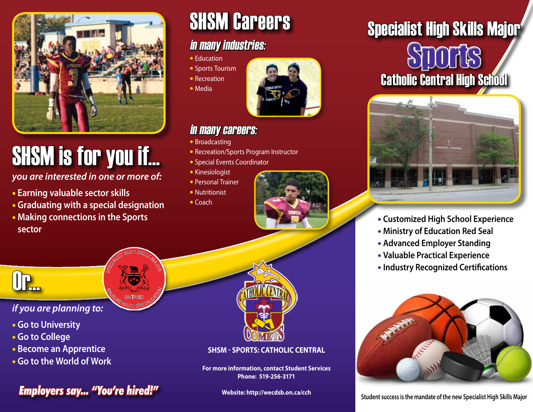

# SHSM is for you if...

*you are interested in one or more of:* 

- • **Earning valuable sector skills**
- • **Graduating with a special designation**

SPECIALIST HIGH SKILLS MAJOR

**M<sub>AJEURE</sub> CONTARIO SPI ONTARIC** 

• **Making connections in the Sports sector**

## SHSM Careers

### in many industries:

- Education
- Sports Tourism
- Recreation
- Media



### in many careers:

- Broadcasting
- Recreation/Sports Program Instructor
- Special Events Coordinator
- Kinesiologist
- Personal Trainer
- Nutritionist
- Coach



## Catholic Central High School Sports Specialist High Skills Major



- **Customized High School Experience**
- **Ministry of Education Red Seal**
- **Advanced Employer Standing**
- **Valuable Practical Experience**
- **Industry Recognized Certifications**



*if you are planning to:*

- 
- • **Go to University**
- • **Go to College**

Or...

- • **Become an Apprentice**
- • **Go to the World of Work**

## **Fimployers say... "You're hired!"** Website: http://wecdsb.on.ca/cch Student success is the mandate of the new Specialist High Skills Major

### **SHSM - Sports: Catholic Central**

**For more information, contact Student Services Phone: 519-256-3171**

**Website: http://wecdsb.on.ca/cch**